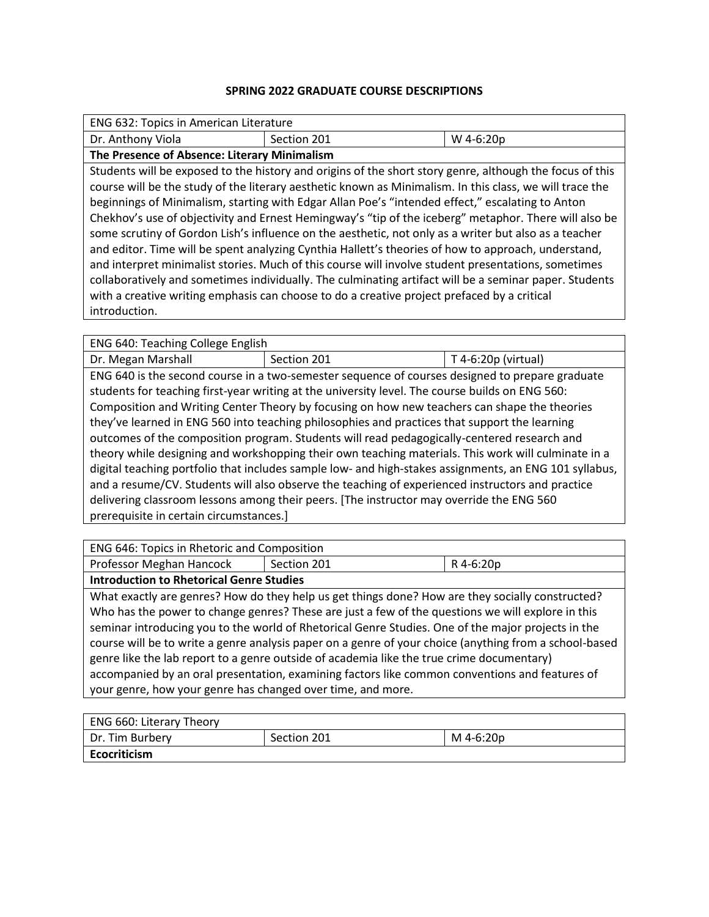## **SPRING 2022 GRADUATE COURSE DESCRIPTIONS**

| Dr. Anthony Viola<br>Section 201<br>W 4-6:20p<br>The Presence of Absence: Literary Minimalism                                                                                                                                                                                                                                                                                                                                                                                                                                                                                                                                                                                                                                                                                                                                                                                                                                                                                      |  |  |  |
|------------------------------------------------------------------------------------------------------------------------------------------------------------------------------------------------------------------------------------------------------------------------------------------------------------------------------------------------------------------------------------------------------------------------------------------------------------------------------------------------------------------------------------------------------------------------------------------------------------------------------------------------------------------------------------------------------------------------------------------------------------------------------------------------------------------------------------------------------------------------------------------------------------------------------------------------------------------------------------|--|--|--|
|                                                                                                                                                                                                                                                                                                                                                                                                                                                                                                                                                                                                                                                                                                                                                                                                                                                                                                                                                                                    |  |  |  |
|                                                                                                                                                                                                                                                                                                                                                                                                                                                                                                                                                                                                                                                                                                                                                                                                                                                                                                                                                                                    |  |  |  |
| Students will be exposed to the history and origins of the short story genre, although the focus of this<br>course will be the study of the literary aesthetic known as Minimalism. In this class, we will trace the<br>beginnings of Minimalism, starting with Edgar Allan Poe's "intended effect," escalating to Anton<br>Chekhov's use of objectivity and Ernest Hemingway's "tip of the iceberg" metaphor. There will also be<br>some scrutiny of Gordon Lish's influence on the aesthetic, not only as a writer but also as a teacher<br>and editor. Time will be spent analyzing Cynthia Hallett's theories of how to approach, understand,<br>and interpret minimalist stories. Much of this course will involve student presentations, sometimes<br>collaboratively and sometimes individually. The culminating artifact will be a seminar paper. Students<br>with a creative writing emphasis can choose to do a creative project prefaced by a critical<br>introduction. |  |  |  |

ENG 640: Teaching College English

Dr. Megan Marshall **Section 201** T 4-6:20p (virtual) ENG 640 is the second course in a two-semester sequence of courses designed to prepare graduate students for teaching first-year writing at the university level. The course builds on ENG 560: Composition and Writing Center Theory by focusing on how new teachers can shape the theories they've learned in ENG 560 into teaching philosophies and practices that support the learning outcomes of the composition program. Students will read pedagogically-centered research and theory while designing and workshopping their own teaching materials. This work will culminate in a digital teaching portfolio that includes sample low- and high-stakes assignments, an ENG 101 syllabus, and a resume/CV. Students will also observe the teaching of experienced instructors and practice delivering classroom lessons among their peers. [The instructor may override the ENG 560 prerequisite in certain circumstances.]

| ENG 646: Topics in Rhetoric and Composition                                                                                                                                                                                                                                                                                                                                                                                                                                                                                                                                                                                                                                         |             |           |  |  |
|-------------------------------------------------------------------------------------------------------------------------------------------------------------------------------------------------------------------------------------------------------------------------------------------------------------------------------------------------------------------------------------------------------------------------------------------------------------------------------------------------------------------------------------------------------------------------------------------------------------------------------------------------------------------------------------|-------------|-----------|--|--|
| Professor Meghan Hancock                                                                                                                                                                                                                                                                                                                                                                                                                                                                                                                                                                                                                                                            | Section 201 | R 4-6:20p |  |  |
| <b>Introduction to Rhetorical Genre Studies</b>                                                                                                                                                                                                                                                                                                                                                                                                                                                                                                                                                                                                                                     |             |           |  |  |
| What exactly are genres? How do they help us get things done? How are they socially constructed?<br>Who has the power to change genres? These are just a few of the questions we will explore in this<br>seminar introducing you to the world of Rhetorical Genre Studies. One of the major projects in the<br>course will be to write a genre analysis paper on a genre of your choice (anything from a school-based<br>genre like the lab report to a genre outside of academia like the true crime documentary)<br>accompanied by an oral presentation, examining factors like common conventions and features of<br>your genre, how your genre has changed over time, and more. |             |           |  |  |
|                                                                                                                                                                                                                                                                                                                                                                                                                                                                                                                                                                                                                                                                                     |             |           |  |  |

| <b>ENG 660: Literary Theory</b> |             |           |
|---------------------------------|-------------|-----------|
| Dr. Tim Burbery                 | Section 201 | M 4-6:20p |
| <b>Ecocriticism</b>             |             |           |